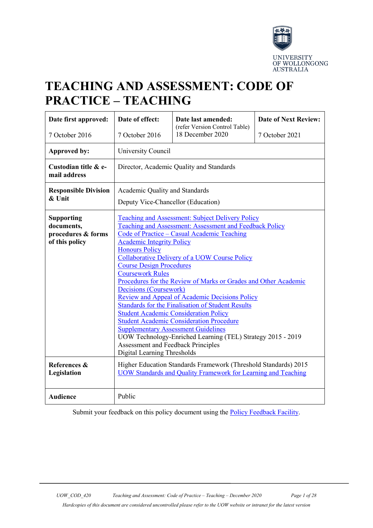

# **TEACHING AND ASSESSMENT: CODE OF PRACTICE – TEACHING**

| Date first approved:                                                    | Date of effect:                                                                                                                                                                                                                                                                                                                                                                                                                                                                                                                                                                                                                                                                                                                                                                                                                                             | Date last amended:                                | <b>Date of Next Review:</b> |  |
|-------------------------------------------------------------------------|-------------------------------------------------------------------------------------------------------------------------------------------------------------------------------------------------------------------------------------------------------------------------------------------------------------------------------------------------------------------------------------------------------------------------------------------------------------------------------------------------------------------------------------------------------------------------------------------------------------------------------------------------------------------------------------------------------------------------------------------------------------------------------------------------------------------------------------------------------------|---------------------------------------------------|-----------------------------|--|
| 7 October 2016                                                          | 7 October 2016                                                                                                                                                                                                                                                                                                                                                                                                                                                                                                                                                                                                                                                                                                                                                                                                                                              | (refer Version Control Table)<br>18 December 2020 | 7 October 2021              |  |
| <b>Approved by:</b>                                                     | University Council                                                                                                                                                                                                                                                                                                                                                                                                                                                                                                                                                                                                                                                                                                                                                                                                                                          |                                                   |                             |  |
| Custodian title & e-<br>mail address                                    | Director, Academic Quality and Standards                                                                                                                                                                                                                                                                                                                                                                                                                                                                                                                                                                                                                                                                                                                                                                                                                    |                                                   |                             |  |
| <b>Responsible Division</b><br>& Unit                                   | Academic Quality and Standards<br>Deputy Vice-Chancellor (Education)                                                                                                                                                                                                                                                                                                                                                                                                                                                                                                                                                                                                                                                                                                                                                                                        |                                                   |                             |  |
| <b>Supporting</b><br>documents,<br>procedures & forms<br>of this policy | <b>Teaching and Assessment: Subject Delivery Policy</b><br>Teaching and Assessment: Assessment and Feedback Policy<br>Code of Practice - Casual Academic Teaching<br><b>Academic Integrity Policy</b><br><b>Honours Policy</b><br><b>Collaborative Delivery of a UOW Course Policy</b><br><b>Course Design Procedures</b><br><b>Coursework Rules</b><br>Procedures for the Review of Marks or Grades and Other Academic<br>Decisions (Coursework)<br><b>Review and Appeal of Academic Decisions Policy</b><br><b>Standards for the Finalisation of Student Results</b><br><b>Student Academic Consideration Policy</b><br>Student Academic Consideration Procedure<br><b>Supplementary Assessment Guidelines</b><br>UOW Technology-Enriched Learning (TEL) Strategy 2015 - 2019<br><b>Assessment and Feedback Principles</b><br>Digital Learning Thresholds |                                                   |                             |  |
| References &<br>Legislation                                             | Higher Education Standards Framework (Threshold Standards) 2015<br><b>UOW Standards and Quality Framework for Learning and Teaching</b>                                                                                                                                                                                                                                                                                                                                                                                                                                                                                                                                                                                                                                                                                                                     |                                                   |                             |  |
| <b>Audience</b>                                                         | Public                                                                                                                                                                                                                                                                                                                                                                                                                                                                                                                                                                                                                                                                                                                                                                                                                                                      |                                                   |                             |  |

Submit your feedback on this policy document using the [Policy Feedback Facility.](http://www.uow.edu.au/about/policy/feedback/index.html)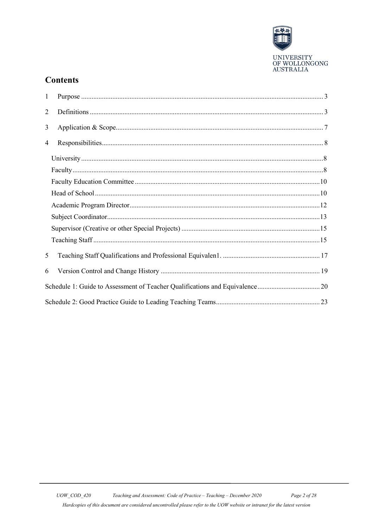

# **Contents**

| $\mathbf{1}$   |  |
|----------------|--|
| $\overline{2}$ |  |
| 3              |  |
| 4              |  |
|                |  |
|                |  |
|                |  |
|                |  |
|                |  |
|                |  |
|                |  |
|                |  |
| 5              |  |
| 6              |  |
|                |  |
|                |  |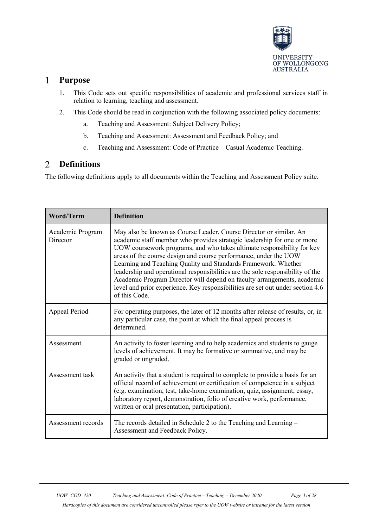

#### <span id="page-2-0"></span> $\mathbf{1}$ **Purpose**

- 1. This Code sets out specific responsibilities of academic and professional services staff in relation to learning, teaching and assessment.
- 2. This Code should be read in conjunction with the following associated policy documents:
	- a. Teaching and Assessment: Subject Delivery Policy;
	- b. Teaching and Assessment: Assessment and Feedback Policy; and
	- c. Teaching and Assessment: Code of Practice Casual Academic Teaching.

#### <span id="page-2-1"></span>**Definitions**  $\overline{2}$

The following definitions apply to all documents within the Teaching and Assessment Policy suite.

| <b>Word/Term</b>             | <b>Definition</b>                                                                                                                                                                                                                                                                                                                                                                                                                                                                                                                                                                                                             |  |
|------------------------------|-------------------------------------------------------------------------------------------------------------------------------------------------------------------------------------------------------------------------------------------------------------------------------------------------------------------------------------------------------------------------------------------------------------------------------------------------------------------------------------------------------------------------------------------------------------------------------------------------------------------------------|--|
| Academic Program<br>Director | May also be known as Course Leader, Course Director or similar. An<br>academic staff member who provides strategic leadership for one or more<br>UOW coursework programs, and who takes ultimate responsibility for key<br>areas of the course design and course performance, under the UOW<br>Learning and Teaching Quality and Standards Framework. Whether<br>leadership and operational responsibilities are the sole responsibility of the<br>Academic Program Director will depend on faculty arrangements, academic<br>level and prior experience. Key responsibilities are set out under section 4.6<br>of this Code. |  |
| Appeal Period                | For operating purposes, the later of 12 months after release of results, or, in<br>any particular case, the point at which the final appeal process is<br>determined.                                                                                                                                                                                                                                                                                                                                                                                                                                                         |  |
| Assessment                   | An activity to foster learning and to help academics and students to gauge<br>levels of achievement. It may be formative or summative, and may be<br>graded or ungraded.                                                                                                                                                                                                                                                                                                                                                                                                                                                      |  |
| Assessment task              | An activity that a student is required to complete to provide a basis for an<br>official record of achievement or certification of competence in a subject<br>(e.g. examination, test, take-home examination, quiz, assignment, essay,<br>laboratory report, demonstration, folio of creative work, performance,<br>written or oral presentation, participation).                                                                                                                                                                                                                                                             |  |
| Assessment records           | The records detailed in Schedule 2 to the Teaching and Learning –<br>Assessment and Feedback Policy.                                                                                                                                                                                                                                                                                                                                                                                                                                                                                                                          |  |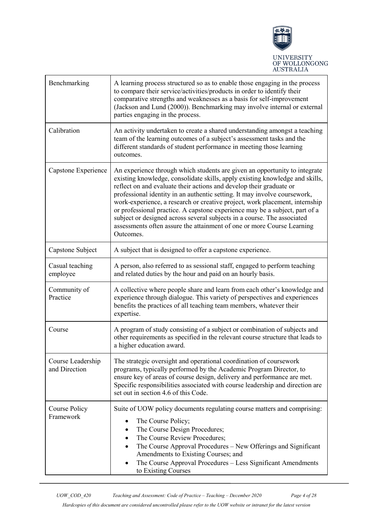

| Benchmarking                       | A learning process structured so as to enable those engaging in the process<br>to compare their service/activities/products in order to identify their<br>comparative strengths and weaknesses as a basis for self-improvement<br>(Jackson and Lund (2000)). Benchmarking may involve internal or external<br>parties engaging in the process.                                                                                                                                                                                                                                                                                                 |  |  |
|------------------------------------|------------------------------------------------------------------------------------------------------------------------------------------------------------------------------------------------------------------------------------------------------------------------------------------------------------------------------------------------------------------------------------------------------------------------------------------------------------------------------------------------------------------------------------------------------------------------------------------------------------------------------------------------|--|--|
| Calibration                        | An activity undertaken to create a shared understanding amongst a teaching<br>team of the learning outcomes of a subject's assessment tasks and the<br>different standards of student performance in meeting those learning<br>outcomes.                                                                                                                                                                                                                                                                                                                                                                                                       |  |  |
| Capstone Experience                | An experience through which students are given an opportunity to integrate<br>existing knowledge, consolidate skills, apply existing knowledge and skills,<br>reflect on and evaluate their actions and develop their graduate or<br>professional identity in an authentic setting. It may involve coursework,<br>work-experience, a research or creative project, work placement, internship<br>or professional practice. A capstone experience may be a subject, part of a<br>subject or designed across several subjects in a course. The associated<br>assessments often assure the attainment of one or more Course Learning<br>Outcomes. |  |  |
| Capstone Subject                   | A subject that is designed to offer a capstone experience.                                                                                                                                                                                                                                                                                                                                                                                                                                                                                                                                                                                     |  |  |
| Casual teaching<br>employee        | A person, also referred to as sessional staff, engaged to perform teaching<br>and related duties by the hour and paid on an hourly basis.                                                                                                                                                                                                                                                                                                                                                                                                                                                                                                      |  |  |
| Community of<br>Practice           | A collective where people share and learn from each other's knowledge and<br>experience through dialogue. This variety of perspectives and experiences<br>benefits the practices of all teaching team members, whatever their<br>expertise.                                                                                                                                                                                                                                                                                                                                                                                                    |  |  |
| Course                             | A program of study consisting of a subject or combination of subjects and<br>other requirements as specified in the relevant course structure that leads to<br>a higher education award.                                                                                                                                                                                                                                                                                                                                                                                                                                                       |  |  |
| Course Leadership<br>and Direction | The strategic oversight and operational coordination of coursework<br>programs, typically performed by the Academic Program Director, to<br>ensure key of areas of course design, delivery and performance are met.<br>Specific responsibilities associated with course leadership and direction are<br>set out in section 4.6 of this Code.                                                                                                                                                                                                                                                                                                   |  |  |
| Course Policy<br>Framework         | Suite of UOW policy documents regulating course matters and comprising:<br>The Course Policy;<br>The Course Design Procedures;<br>The Course Review Procedures;<br>The Course Approval Procedures - New Offerings and Significant<br>Amendments to Existing Courses; and<br>The Course Approval Procedures - Less Significant Amendments<br>to Existing Courses                                                                                                                                                                                                                                                                                |  |  |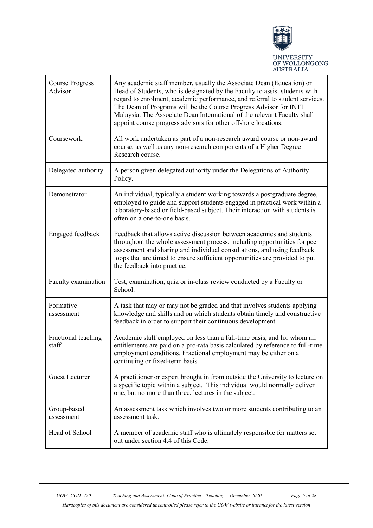

| <b>Course Progress</b><br>Advisor | Any academic staff member, usually the Associate Dean (Education) or<br>Head of Students, who is designated by the Faculty to assist students with<br>regard to enrolment, academic performance, and referral to student services.<br>The Dean of Programs will be the Course Progress Advisor for INTI<br>Malaysia. The Associate Dean International of the relevant Faculty shall<br>appoint course progress advisors for other offshore locations. |
|-----------------------------------|-------------------------------------------------------------------------------------------------------------------------------------------------------------------------------------------------------------------------------------------------------------------------------------------------------------------------------------------------------------------------------------------------------------------------------------------------------|
| Coursework                        | All work undertaken as part of a non-research award course or non-award<br>course, as well as any non-research components of a Higher Degree<br>Research course.                                                                                                                                                                                                                                                                                      |
| Delegated authority               | A person given delegated authority under the Delegations of Authority<br>Policy.                                                                                                                                                                                                                                                                                                                                                                      |
| Demonstrator                      | An individual, typically a student working towards a postgraduate degree,<br>employed to guide and support students engaged in practical work within a<br>laboratory-based or field-based subject. Their interaction with students is<br>often on a one-to-one basis.                                                                                                                                                                                 |
| Engaged feedback                  | Feedback that allows active discussion between academics and students<br>throughout the whole assessment process, including opportunities for peer<br>assessment and sharing and individual consultations, and using feedback<br>loops that are timed to ensure sufficient opportunities are provided to put<br>the feedback into practice.                                                                                                           |
| Faculty examination               | Test, examination, quiz or in-class review conducted by a Faculty or<br>School.                                                                                                                                                                                                                                                                                                                                                                       |
| Formative<br>assessment           | A task that may or may not be graded and that involves students applying<br>knowledge and skills and on which students obtain timely and constructive<br>feedback in order to support their continuous development.                                                                                                                                                                                                                                   |
| Fractional teaching<br>staff      | Academic staff employed on less than a full-time basis, and for whom all<br>entitlements are paid on a pro-rata basis calculated by reference to full-time<br>employment conditions. Fractional employment may be either on a<br>continuing or fixed-term basis.                                                                                                                                                                                      |
| <b>Guest Lecturer</b>             | A practitioner or expert brought in from outside the University to lecture on<br>a specific topic within a subject. This individual would normally deliver<br>one, but no more than three, lectures in the subject.                                                                                                                                                                                                                                   |
| Group-based<br>assessment         | An assessment task which involves two or more students contributing to an<br>assessment task.                                                                                                                                                                                                                                                                                                                                                         |
| Head of School                    | A member of academic staff who is ultimately responsible for matters set<br>out under section 4.4 of this Code.                                                                                                                                                                                                                                                                                                                                       |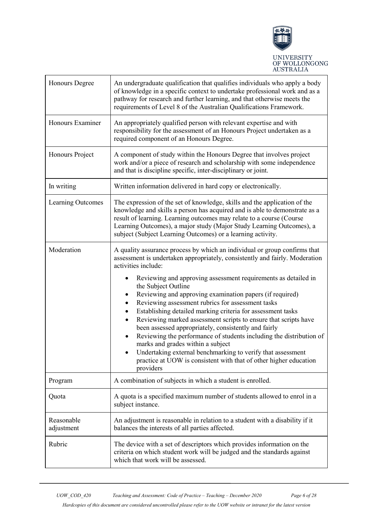

| Honours Degree           | An undergraduate qualification that qualifies individuals who apply a body<br>of knowledge in a specific context to undertake professional work and as a<br>pathway for research and further learning, and that otherwise meets the<br>requirements of Level 8 of the Australian Qualifications Framework.                                                                                                                                                                                                                                                                                                                                                                                                                     |  |
|--------------------------|--------------------------------------------------------------------------------------------------------------------------------------------------------------------------------------------------------------------------------------------------------------------------------------------------------------------------------------------------------------------------------------------------------------------------------------------------------------------------------------------------------------------------------------------------------------------------------------------------------------------------------------------------------------------------------------------------------------------------------|--|
| Honours Examiner         | An appropriately qualified person with relevant expertise and with<br>responsibility for the assessment of an Honours Project undertaken as a<br>required component of an Honours Degree.                                                                                                                                                                                                                                                                                                                                                                                                                                                                                                                                      |  |
| Honours Project          | A component of study within the Honours Degree that involves project<br>work and/or a piece of research and scholarship with some independence<br>and that is discipline specific, inter-disciplinary or joint.                                                                                                                                                                                                                                                                                                                                                                                                                                                                                                                |  |
| In writing               | Written information delivered in hard copy or electronically.                                                                                                                                                                                                                                                                                                                                                                                                                                                                                                                                                                                                                                                                  |  |
| Learning Outcomes        | The expression of the set of knowledge, skills and the application of the<br>knowledge and skills a person has acquired and is able to demonstrate as a<br>result of learning. Learning outcomes may relate to a course (Course<br>Learning Outcomes), a major study (Major Study Learning Outcomes), a<br>subject (Subject Learning Outcomes) or a learning activity.                                                                                                                                                                                                                                                                                                                                                         |  |
| Moderation               | A quality assurance process by which an individual or group confirms that<br>assessment is undertaken appropriately, consistently and fairly. Moderation<br>activities include:                                                                                                                                                                                                                                                                                                                                                                                                                                                                                                                                                |  |
|                          | Reviewing and approving assessment requirements as detailed in<br>the Subject Outline<br>Reviewing and approving examination papers (if required)<br>$\bullet$<br>Reviewing assessment rubrics for assessment tasks<br>$\bullet$<br>Establishing detailed marking criteria for assessment tasks<br>$\bullet$<br>Reviewing marked assessment scripts to ensure that scripts have<br>$\bullet$<br>been assessed appropriately, consistently and fairly<br>Reviewing the performance of students including the distribution of<br>$\bullet$<br>marks and grades within a subject<br>Undertaking external benchmarking to verify that assessment<br>practice at UOW is consistent with that of other higher education<br>providers |  |
| Program                  | A combination of subjects in which a student is enrolled.                                                                                                                                                                                                                                                                                                                                                                                                                                                                                                                                                                                                                                                                      |  |
| Quota                    | A quota is a specified maximum number of students allowed to enrol in a<br>subject instance.                                                                                                                                                                                                                                                                                                                                                                                                                                                                                                                                                                                                                                   |  |
| Reasonable<br>adjustment | An adjustment is reasonable in relation to a student with a disability if it<br>balances the interests of all parties affected.                                                                                                                                                                                                                                                                                                                                                                                                                                                                                                                                                                                                |  |
| Rubric                   | The device with a set of descriptors which provides information on the<br>criteria on which student work will be judged and the standards against<br>which that work will be assessed.                                                                                                                                                                                                                                                                                                                                                                                                                                                                                                                                         |  |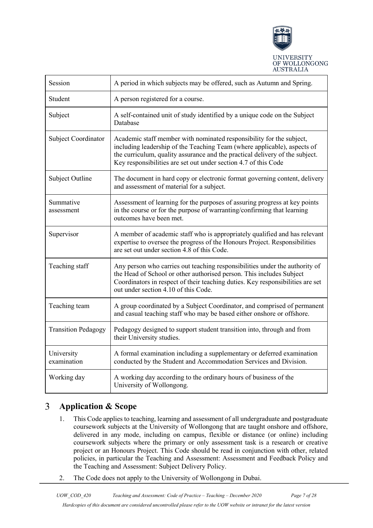

| Session                    | A period in which subjects may be offered, such as Autumn and Spring.                                                                                                                                                                                                                               |  |  |
|----------------------------|-----------------------------------------------------------------------------------------------------------------------------------------------------------------------------------------------------------------------------------------------------------------------------------------------------|--|--|
| Student                    | A person registered for a course.                                                                                                                                                                                                                                                                   |  |  |
| Subject                    | A self-contained unit of study identified by a unique code on the Subject<br>Database                                                                                                                                                                                                               |  |  |
| Subject Coordinator        | Academic staff member with nominated responsibility for the subject,<br>including leadership of the Teaching Team (where applicable), aspects of<br>the curriculum, quality assurance and the practical delivery of the subject.<br>Key responsibilities are set out under section 4.7 of this Code |  |  |
| Subject Outline            | The document in hard copy or electronic format governing content, delivery<br>and assessment of material for a subject.                                                                                                                                                                             |  |  |
| Summative<br>assessment    | Assessment of learning for the purposes of assuring progress at key points<br>in the course or for the purpose of warranting/confirming that learning<br>outcomes have been met.                                                                                                                    |  |  |
| Supervisor                 | A member of academic staff who is appropriately qualified and has relevant<br>expertise to oversee the progress of the Honours Project. Responsibilities<br>are set out under section 4.8 of this Code.                                                                                             |  |  |
| Teaching staff             | Any person who carries out teaching responsibilities under the authority of<br>the Head of School or other authorised person. This includes Subject<br>Coordinators in respect of their teaching duties. Key responsibilities are set<br>out under section 4.10 of this Code.                       |  |  |
| Teaching team              | A group coordinated by a Subject Coordinator, and comprised of permanent<br>and casual teaching staff who may be based either onshore or offshore.                                                                                                                                                  |  |  |
| <b>Transition Pedagogy</b> | Pedagogy designed to support student transition into, through and from<br>their University studies.                                                                                                                                                                                                 |  |  |
| University<br>examination  | A formal examination including a supplementary or deferred examination<br>conducted by the Student and Accommodation Services and Division.                                                                                                                                                         |  |  |
| Working day                | A working day according to the ordinary hours of business of the<br>University of Wollongong.                                                                                                                                                                                                       |  |  |

#### <span id="page-6-0"></span> $\overline{3}$ **Application & Scope**

- 1. This Code applies to teaching, learning and assessment of all undergraduate and postgraduate coursework subjects at the University of Wollongong that are taught onshore and offshore, delivered in any mode, including on campus, flexible or distance (or online) including coursework subjects where the primary or only assessment task is a research or creative project or an Honours Project. This Code should be read in conjunction with other, related policies, in particular the Teaching and Assessment: Assessment and Feedback Policy and the Teaching and Assessment: Subject Delivery Policy.
- 2. The Code does not apply to the University of Wollongong in Dubai.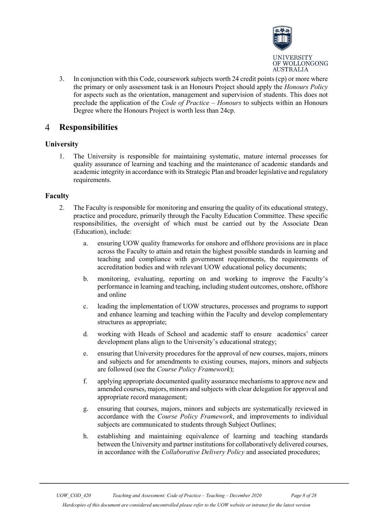

3. In conjunction with this Code, coursework subjects worth 24 credit points (cp) or more where the primary or only assessment task is an Honours Project should apply the *Honours Policy* for aspects such as the orientation, management and supervision of students. This does not preclude the application of the *Code of Practice – Honours* to subjects within an Honours Degree where the Honours Project is worth less than 24cp.

#### <span id="page-7-0"></span> $\overline{4}$ **Responsibilities**

# <span id="page-7-1"></span>**University**

1. The University is responsible for maintaining systematic, mature internal processes for quality assurance of learning and teaching and the maintenance of academic standards and academic integrity in accordance with its Strategic Plan and broader legislative and regulatory requirements.

# <span id="page-7-2"></span>**Faculty**

- 2. The Faculty is responsible for monitoring and ensuring the quality of its educational strategy, practice and procedure, primarily through the Faculty Education Committee. These specific responsibilities, the oversight of which must be carried out by the Associate Dean (Education), include:
	- a. ensuring UOW quality frameworks for onshore and offshore provisions are in place across the Faculty to attain and retain the highest possible standards in learning and teaching and compliance with government requirements, the requirements of accreditation bodies and with relevant UOW educational policy documents;
	- b. monitoring, evaluating, reporting on and working to improve the Faculty's performance in learning and teaching, including student outcomes, onshore, offshore and online
	- c. leading the implementation of UOW structures, processes and programs to support and enhance learning and teaching within the Faculty and develop complementary structures as appropriate;
	- d. working with Heads of School and academic staff to ensure academics' career development plans align to the University's educational strategy;
	- e. ensuring that University procedures for the approval of new courses, majors, minors and subjects and for amendments to existing courses, majors, minors and subjects are followed (see the *Course Policy Framework*);
	- f. applying appropriate documented quality assurance mechanisms to approve new and amended courses, majors, minors and subjects with clear delegation for approval and appropriate record management;
	- g. ensuring that courses, majors, minors and subjects are systematically reviewed in accordance with the *Course Policy Framework*, and improvements to individual subjects are communicated to students through Subject Outlines;
	- h. establishing and maintaining equivalence of learning and teaching standards between the University and partner institutions for collaboratively delivered courses, in accordance with the *Collaborative Delivery Policy* and associated procedures;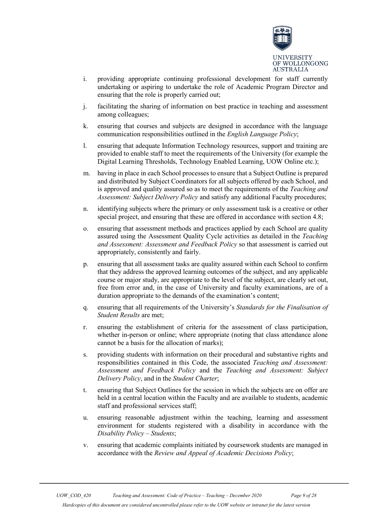

- i. providing appropriate continuing professional development for staff currently undertaking or aspiring to undertake the role of Academic Program Director and ensuring that the role is properly carried out;
- j. facilitating the sharing of information on best practice in teaching and assessment among colleagues;
- k. ensuring that courses and subjects are designed in accordance with the language communication responsibilities outlined in the *English Language Policy*;
- l. ensuring that adequate Information Technology resources, support and training are provided to enable staff to meet the requirements of the University (for example the Digital Learning Thresholds, Technology Enabled Learning, UOW Online etc.);
- m. having in place in each School processes to ensure that a Subject Outline is prepared and distributed by Subject Coordinators for all subjects offered by each School, and is approved and quality assured so as to meet the requirements of the *Teaching and Assessment: Subject Delivery Policy* and satisfy any additional Faculty procedures;
- n. identifying subjects where the primary or only assessment task is a creative or other special project, and ensuring that these are offered in accordance with section 4.8;
- o. ensuring that assessment methods and practices applied by each School are quality assured using the Assessment Quality Cycle activities as detailed in the *Teaching and Assessment: Assessment and Feedback Policy* so that assessment is carried out appropriately, consistently and fairly.
- p. ensuring that all assessment tasks are quality assured within each School to confirm that they address the approved learning outcomes of the subject, and any applicable course or major study, are appropriate to the level of the subject, are clearly set out, free from error and, in the case of University and faculty examinations, are of a duration appropriate to the demands of the examination's content;
- q. ensuring that all requirements of the University's *Standards for the Finalisation of Student Results* are met;
- r. ensuring the establishment of criteria for the assessment of class participation, whether in-person or online; where appropriate (noting that class attendance alone cannot be a basis for the allocation of marks);
- s. providing students with information on their procedural and substantive rights and responsibilities contained in this Code, the associated *Teaching and Assessment: Assessment and Feedback Policy* and the *Teaching and Assessment: Subject Delivery Policy*, and in the *Student Charter*;
- t. ensuring that Subject Outlines for the session in which the subjects are on offer are held in a central location within the Faculty and are available to students, academic staff and professional services staff;
- u. ensuring reasonable adjustment within the teaching, learning and assessment environment for students registered with a disability in accordance with the *Disability Policy – Students*;
- v. ensuring that academic complaints initiated by coursework students are managed in accordance with the *Review and Appeal of Academic Decisions Policy*;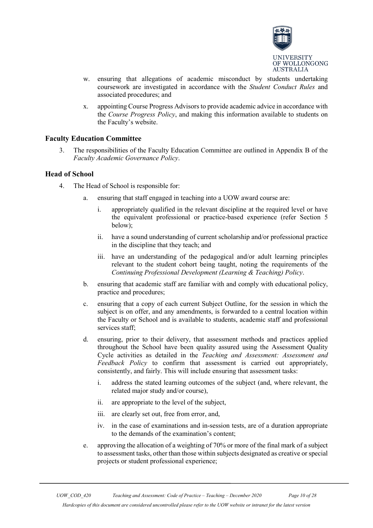

- w. ensuring that allegations of academic misconduct by students undertaking coursework are investigated in accordance with the *Student Conduct Rules* and associated procedures; and
- x. appointing Course Progress Advisors to provide academic advice in accordance with the *Course Progress Policy*, and making this information available to students on the Faculty's website.

# <span id="page-9-0"></span>**Faculty Education Committee**

3. The responsibilities of the Faculty Education Committee are outlined in Appendix B of the *Faculty Academic Governance Policy*.

# <span id="page-9-1"></span>**Head of School**

- 4. The Head of School is responsible for:
	- a. ensuring that staff engaged in teaching into a UOW award course are:
		- i. appropriately qualified in the relevant discipline at the required level or have the equivalent professional or practice-based experience (refer Section 5 below);
		- ii. have a sound understanding of current scholarship and/or professional practice in the discipline that they teach; and
		- iii. have an understanding of the pedagogical and/or adult learning principles relevant to the student cohort being taught, noting the requirements of the *Continuing Professional Development (Learning & Teaching) Policy*.
	- b. ensuring that academic staff are familiar with and comply with educational policy, practice and procedures;
	- c. ensuring that a copy of each current Subject Outline, for the session in which the subject is on offer, and any amendments, is forwarded to a central location within the Faculty or School and is available to students, academic staff and professional services staff;
	- d. ensuring, prior to their delivery, that assessment methods and practices applied throughout the School have been quality assured using the Assessment Quality Cycle activities as detailed in the *Teaching and Assessment: Assessment and Feedback Policy* to confirm that assessment is carried out appropriately, consistently, and fairly. This will include ensuring that assessment tasks:
		- i. address the stated learning outcomes of the subject (and, where relevant, the related major study and/or course),
		- ii. are appropriate to the level of the subject,
		- iii. are clearly set out, free from error, and,
		- iv. in the case of examinations and in-session tests, are of a duration appropriate to the demands of the examination's content;
	- e. approving the allocation of a weighting of 70% or more of the final mark of a subject to assessment tasks, other than those within subjects designated as creative or special projects or student professional experience;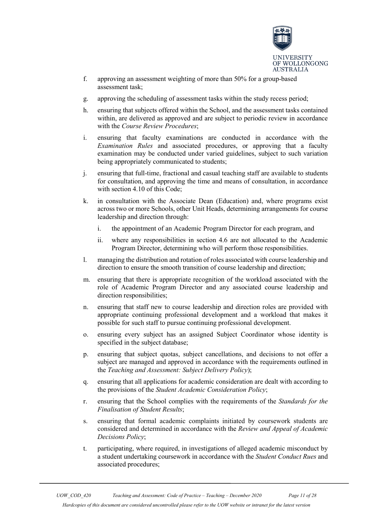

- f. approving an assessment weighting of more than 50% for a group-based assessment task;
- g. approving the scheduling of assessment tasks within the study recess period;
- h. ensuring that subjects offered within the School, and the assessment tasks contained within, are delivered as approved and are subject to periodic review in accordance with the *Course Review Procedures*;
- i. ensuring that faculty examinations are conducted in accordance with the *Examination Rules* and associated procedures, or approving that a faculty examination may be conducted under varied guidelines, subject to such variation being appropriately communicated to students;
- j. ensuring that full-time, fractional and casual teaching staff are available to students for consultation, and approving the time and means of consultation, in accordance with section 4.10 of this Code;
- k. in consultation with the Associate Dean (Education) and, where programs exist across two or more Schools, other Unit Heads, determining arrangements for course leadership and direction through:
	- i. the appointment of an Academic Program Director for each program, and
	- ii. where any responsibilities in section 4.6 are not allocated to the Academic Program Director, determining who will perform those responsibilities.
- l. managing the distribution and rotation of roles associated with course leadership and direction to ensure the smooth transition of course leadership and direction;
- m. ensuring that there is appropriate recognition of the workload associated with the role of Academic Program Director and any associated course leadership and direction responsibilities;
- n. ensuring that staff new to course leadership and direction roles are provided with appropriate continuing professional development and a workload that makes it possible for such staff to pursue continuing professional development.
- o. ensuring every subject has an assigned Subject Coordinator whose identity is specified in the subject database;
- p. ensuring that subject quotas, subject cancellations, and decisions to not offer a subject are managed and approved in accordance with the requirements outlined in the *Teaching and Assessment: Subject Delivery Policy*);
- q. ensuring that all applications for academic consideration are dealt with according to the provisions of the *Student Academic Consideration Policy*;
- r. ensuring that the School complies with the requirements of the *Standards for the Finalisation of Student Results*;
- s. ensuring that formal academic complaints initiated by coursework students are considered and determined in accordance with the *Review and Appeal of Academic Decisions Policy*;
- t. participating, where required, in investigations of alleged academic misconduct by a student undertaking coursework in accordance with the *Student Conduct Rues* and associated procedures;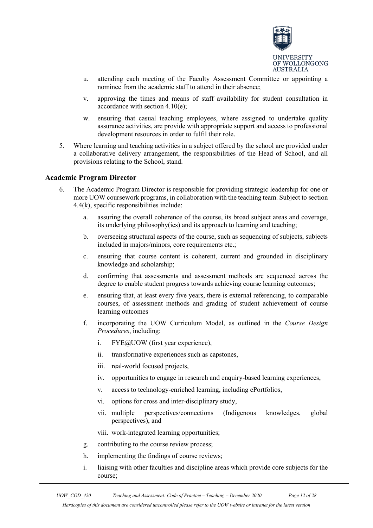

- u. attending each meeting of the Faculty Assessment Committee or appointing a nominee from the academic staff to attend in their absence;
- v. approving the times and means of staff availability for student consultation in accordance with section 4.10(e);
- w. ensuring that casual teaching employees, where assigned to undertake quality assurance activities, are provide with appropriate support and access to professional development resources in order to fulfil their role.
- 5. Where learning and teaching activities in a subject offered by the school are provided under a collaborative delivery arrangement, the responsibilities of the Head of School, and all provisions relating to the School, stand.

# <span id="page-11-0"></span>**Academic Program Director**

- 6. The Academic Program Director is responsible for providing strategic leadership for one or more UOW coursework programs, in collaboration with the teaching team. Subject to section 4.4(k), specific responsibilities include:
	- a. assuring the overall coherence of the course, its broad subject areas and coverage, its underlying philosophy(ies) and its approach to learning and teaching;
	- b. overseeing structural aspects of the course, such as sequencing of subjects, subjects included in majors/minors, core requirements etc.;
	- c. ensuring that course content is coherent, current and grounded in disciplinary knowledge and scholarship;
	- d. confirming that assessments and assessment methods are sequenced across the degree to enable student progress towards achieving course learning outcomes;
	- e. ensuring that, at least every five years, there is external referencing, to comparable courses, of assessment methods and grading of student achievement of course learning outcomes
	- f. incorporating the UOW Curriculum Model, as outlined in the *Course Design Procedures*, including:
		- i. FYE@UOW (first year experience),
		- ii. transformative experiences such as capstones,
		- iii. real-world focused projects,
		- iv. opportunities to engage in research and enquiry-based learning experiences,
		- v. access to technology-enriched learning, including ePortfolios,
		- vi. options for cross and inter-disciplinary study,
		- vii. multiple perspectives/connections (Indigenous knowledges, global perspectives), and
		- viii. work-integrated learning opportunities;
	- g. contributing to the course review process;
	- h. implementing the findings of course reviews;
	- i. liaising with other faculties and discipline areas which provide core subjects for the course;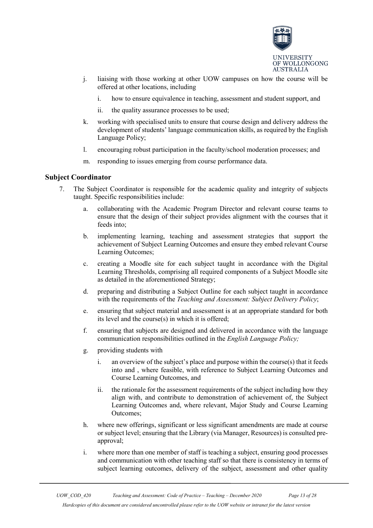

- j. liaising with those working at other UOW campuses on how the course will be offered at other locations, including
	- i. how to ensure equivalence in teaching, assessment and student support, and
	- ii. the quality assurance processes to be used;
- k. working with specialised units to ensure that course design and delivery address the development of students' language communication skills, as required by the English Language Policy;
- l. encouraging robust participation in the faculty/school moderation processes; and
- m. responding to issues emerging from course performance data.

# <span id="page-12-0"></span>**Subject Coordinator**

- 7. The Subject Coordinator is responsible for the academic quality and integrity of subjects taught. Specific responsibilities include:
	- a. collaborating with the Academic Program Director and relevant course teams to ensure that the design of their subject provides alignment with the courses that it feeds into;
	- b. implementing learning, teaching and assessment strategies that support the achievement of Subject Learning Outcomes and ensure they embed relevant Course Learning Outcomes;
	- c. creating a Moodle site for each subject taught in accordance with the Digital Learning Thresholds, comprising all required components of a Subject Moodle site as detailed in the aforementioned Strategy;
	- d. preparing and distributing a Subject Outline for each subject taught in accordance with the requirements of the *Teaching and Assessment: Subject Delivery Policy*;
	- e. ensuring that subject material and assessment is at an appropriate standard for both its level and the course(s) in which it is offered;
	- f. ensuring that subjects are designed and delivered in accordance with the language communication responsibilities outlined in the *English Language Policy;*
	- g. providing students with
		- i. an overview of the subject's place and purpose within the course $(s)$  that it feeds into and , where feasible, with reference to Subject Learning Outcomes and Course Learning Outcomes, and
		- ii. the rationale for the assessment requirements of the subject including how they align with, and contribute to demonstration of achievement of, the Subject Learning Outcomes and, where relevant, Major Study and Course Learning Outcomes;
	- h. where new offerings, significant or less significant amendments are made at course or subject level; ensuring that the Library (via Manager, Resources) is consulted preapproval;
	- i. where more than one member of staff is teaching a subject, ensuring good processes and communication with other teaching staff so that there is consistency in terms of subject learning outcomes, delivery of the subject, assessment and other quality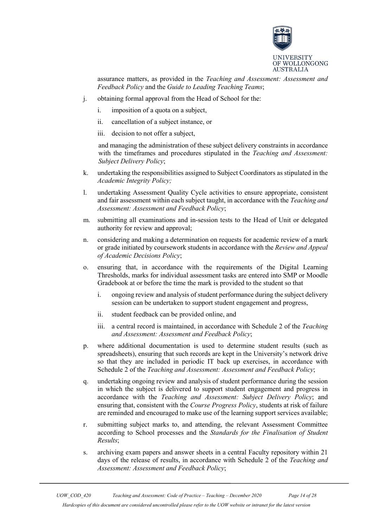

assurance matters, as provided in the *Teaching and Assessment: Assessment and Feedback Policy* and the *Guide to Leading Teaching Teams*;

- j. obtaining formal approval from the Head of School for the:
	- i. imposition of a quota on a subject,
	- ii. cancellation of a subject instance, or
	- iii. decision to not offer a subject,

and managing the administration of these subject delivery constraints in accordance with the timeframes and procedures stipulated in the *Teaching and Assessment: Subject Delivery Policy*;

- k. undertaking the responsibilities assigned to Subject Coordinators as stipulated in the *Academic Integrity Policy;*
- l. undertaking Assessment Quality Cycle activities to ensure appropriate, consistent and fair assessment within each subject taught, in accordance with the *Teaching and Assessment: Assessment and Feedback Policy*;
- m. submitting all examinations and in-session tests to the Head of Unit or delegated authority for review and approval;
- n. considering and making a determination on requests for academic review of a mark or grade initiated by coursework students in accordance with the *Review and Appeal of Academic Decisions Policy*;
- o. ensuring that, in accordance with the requirements of the Digital Learning Thresholds, marks for individual assessment tasks are entered into SMP or Moodle Gradebook at or before the time the mark is provided to the student so that
	- i. ongoing review and analysis of student performance during the subject delivery session can be undertaken to support student engagement and progress,
	- ii. student feedback can be provided online, and
	- iii. a central record is maintained, in accordance with Schedule 2 of the *Teaching and Assessment: Assessment and Feedback Policy*;
- p. where additional documentation is used to determine student results (such as spreadsheets), ensuring that such records are kept in the University's network drive so that they are included in periodic IT back up exercises, in accordance with Schedule 2 of the *Teaching and Assessment: Assessment and Feedback Policy*;
- q. undertaking ongoing review and analysis of student performance during the session in which the subject is delivered to support student engagement and progress in accordance with the *Teaching and Assessment: Subject Delivery Policy*; and ensuring that, consistent with the *Course Progress Policy*, students at risk of failure are reminded and encouraged to make use of the learning support services available;
- r. submitting subject marks to, and attending, the relevant Assessment Committee according to School processes and the *Standards for the Finalisation of Student Results*;
- s. archiving exam papers and answer sheets in a central Faculty repository within 21 days of the release of results, in accordance with Schedule 2 of the *Teaching and Assessment: Assessment and Feedback Policy*;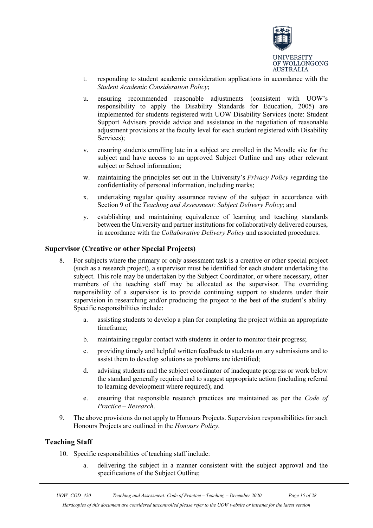

- t. responding to student academic consideration applications in accordance with the *Student Academic Consideration Policy*;
- u. ensuring recommended reasonable adjustments (consistent with UOW's responsibility to apply the Disability Standards for Education, 2005) are implemented for students registered with UOW Disability Services (note: Student Support Advisers provide advice and assistance in the negotiation of reasonable adjustment provisions at the faculty level for each student registered with Disability Services);
- v. ensuring students enrolling late in a subject are enrolled in the Moodle site for the subject and have access to an approved Subject Outline and any other relevant subject or School information;
- w. maintaining the principles set out in the University's *Privacy Policy r*egarding the confidentiality of personal information, including marks;
- x. undertaking regular quality assurance review of the subject in accordance with Section 9 of the *Teaching and Assessment: Subject Delivery Policy*; and
- y. establishing and maintaining equivalence of learning and teaching standards between the University and partner institutions for collaboratively delivered courses, in accordance with the *Collaborative Delivery Policy* and associated procedures.

# <span id="page-14-0"></span>**Supervisor (Creative or other Special Projects)**

- 8. For subjects where the primary or only assessment task is a creative or other special project (such as a research project), a supervisor must be identified for each student undertaking the subject. This role may be undertaken by the Subject Coordinator, or where necessary, other members of the teaching staff may be allocated as the supervisor. The overriding responsibility of a supervisor is to provide continuing support to students under their supervision in researching and/or producing the project to the best of the student's ability. Specific responsibilities include:
	- a. assisting students to develop a plan for completing the project within an appropriate timeframe;
	- b. maintaining regular contact with students in order to monitor their progress;
	- c. providing timely and helpful written feedback to students on any submissions and to assist them to develop solutions as problems are identified;
	- d. advising students and the subject coordinator of inadequate progress or work below the standard generally required and to suggest appropriate action (including referral to learning development where required); and
	- e. ensuring that responsible research practices are maintained as per the *Code of Practice – Research*.
- 9. The above provisions do not apply to Honours Projects. Supervision responsibilities for such Honours Projects are outlined in the *Honours Policy*.

# <span id="page-14-1"></span>**Teaching Staff**

- 10. Specific responsibilities of teaching staff include:
	- a. delivering the subject in a manner consistent with the subject approval and the specifications of the Subject Outline;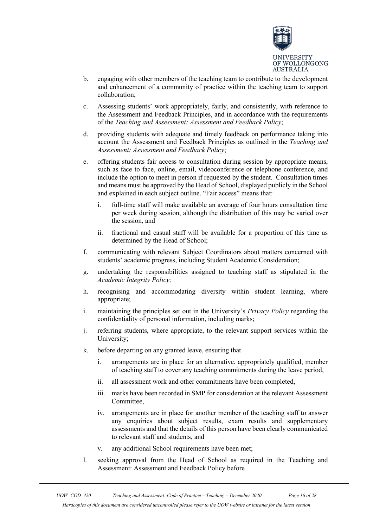

- b. engaging with other members of the teaching team to contribute to the development and enhancement of a community of practice within the teaching team to support collaboration;
- c. Assessing students' work appropriately, fairly, and consistently, with reference to the Assessment and Feedback Principles, and in accordance with the requirements of the *Teaching and Assessment: Assessment and Feedback Policy*;
- d. providing students with adequate and timely feedback on performance taking into account the Assessment and Feedback Principles as outlined in the *Teaching and Assessment: Assessment and Feedback Policy*;
- e. offering students fair access to consultation during session by appropriate means, such as face to face, online, email, videoconference or telephone conference, and include the option to meet in person if requested by the student. Consultation times and means must be approved by the Head of School, displayed publicly in the School and explained in each subject outline. "Fair access" means that:
	- i. full-time staff will make available an average of four hours consultation time per week during session, although the distribution of this may be varied over the session, and
	- ii. fractional and casual staff will be available for a proportion of this time as determined by the Head of School;
- f. communicating with relevant Subject Coordinators about matters concerned with students' academic progress, including Student Academic Consideration;
- g. undertaking the responsibilities assigned to teaching staff as stipulated in the *Academic Integrity Policy;*
- h. recognising and accommodating diversity within student learning, where appropriate;
- i. maintaining the principles set out in the University's *Privacy Policy* regarding the confidentiality of personal information, including marks;
- j. referring students, where appropriate, to the relevant support services within the University;
- k. before departing on any granted leave, ensuring that
	- i. arrangements are in place for an alternative, appropriately qualified, member of teaching staff to cover any teaching commitments during the leave period,
	- ii. all assessment work and other commitments have been completed,
	- iii. marks have been recorded in SMP for consideration at the relevant Assessment Committee,
	- iv. arrangements are in place for another member of the teaching staff to answer any enquiries about subject results, exam results and supplementary assessments and that the details of this person have been clearly communicated to relevant staff and students, and
	- v. any additional School requirements have been met;
- l. seeking approval from the Head of School as required in the Teaching and Assessment: Assessment and Feedback Policy before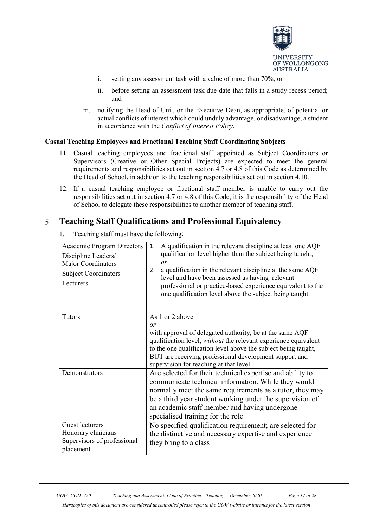

- i. setting any assessment task with a value of more than 70%, or
- ii. before setting an assessment task due date that falls in a study recess period; and
- m. notifying the Head of Unit, or the Executive Dean, as appropriate, of potential or actual conflicts of interest which could unduly advantage, or disadvantage, a student in accordance with the *Conflict of Interest Policy*.

# **Casual Teaching Employees and Fractional Teaching Staff Coordinating Subjects**

- 11. Casual teaching employees and fractional staff appointed as Subject Coordinators or Supervisors (Creative or Other Special Projects) are expected to meet the general requirements and responsibilities set out in section 4.7 or 4.8 of this Code as determined by the Head of School, in addition to the teaching responsibilities set out in section 4.10.
- 12. If a casual teaching employee or fractional staff member is unable to carry out the responsibilities set out in section 4.7 or 4.8 of this Code, it is the responsibility of the Head of School to delegate these responsibilities to another member of teaching staff.

#### <span id="page-16-0"></span>5 **Teaching Staff Qualifications and Professional Equivalency**

1. Teaching staff must have the following:

| <b>Academic Program Directors</b><br>Discipline Leaders/<br>Major Coordinators<br><b>Subject Coordinators</b><br>Lecturers | A qualification in the relevant discipline at least one AQF<br>1.<br>qualification level higher than the subject being taught;<br>$\overline{or}$<br>a qualification in the relevant discipline at the same AQF<br>2.<br>level and have been assessed as having relevant<br>professional or practice-based experience equivalent to the<br>one qualification level above the subject being taught. |
|----------------------------------------------------------------------------------------------------------------------------|----------------------------------------------------------------------------------------------------------------------------------------------------------------------------------------------------------------------------------------------------------------------------------------------------------------------------------------------------------------------------------------------------|
| Tutors                                                                                                                     | As 1 or 2 above<br>or<br>with approval of delegated authority, be at the same AQF<br>qualification level, without the relevant experience equivalent<br>to the one qualification level above the subject being taught,<br>BUT are receiving professional development support and<br>supervision for teaching at that level.                                                                        |
| Demonstrators                                                                                                              | Are selected for their technical expertise and ability to<br>communicate technical information. While they would<br>normally meet the same requirements as a tutor, they may<br>be a third year student working under the supervision of<br>an academic staff member and having undergone<br>specialised training for the role                                                                     |
| <b>Guest lecturers</b><br>Honorary clinicians<br>Supervisors of professional<br>placement                                  | No specified qualification requirement; are selected for<br>the distinctive and necessary expertise and experience<br>they bring to a class                                                                                                                                                                                                                                                        |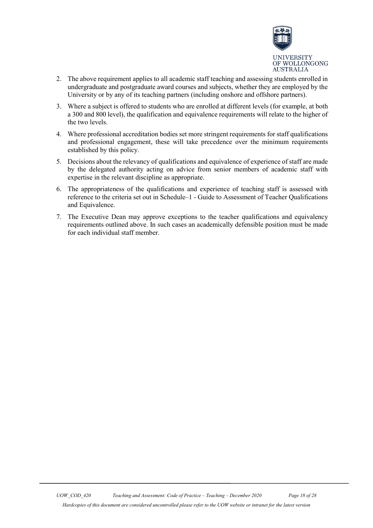

- 2. The above requirement applies to all academic staff teaching and assessing students enrolled in undergraduate and postgraduate award courses and subjects, whether they are employed by the University or by any of its teaching partners (including onshore and offshore partners).
- 3. Where a subject is offered to students who are enrolled at different levels (for example, at both a 300 and 800 level), the qualification and equivalence requirements will relate to the higher of the two levels.
- 4. Where professional accreditation bodies set more stringent requirements for staff qualifications and professional engagement, these will take precedence over the minimum requirements established by this policy.
- 5. Decisions about the relevancy of qualifications and equivalence of experience of staff are made by the delegated authority acting on advice from senior members of academic staff with expertise in the relevant discipline as appropriate.
- 6. The appropriateness of the qualifications and experience of teaching staff is assessed with reference to the criteria set out in Schedule–1 - Guide to Assessment of Teacher Qualifications and Equivalence.
- 7. The Executive Dean may approve exceptions to the teacher qualifications and equivalency requirements outlined above. In such cases an academically defensible position must be made for each individual staff member.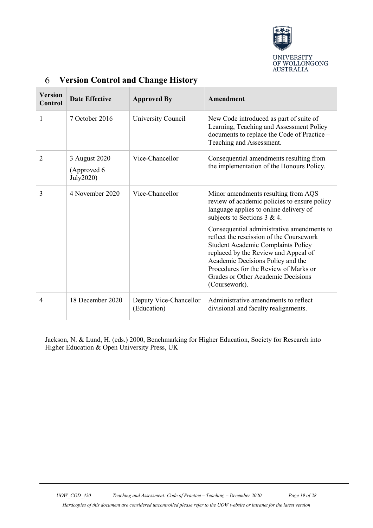

| <b>Version</b><br>Control | <b>Date Effective</b>                      | <b>Approved By</b>                    | Amendment                                                                                                                                                                                                                                                                                                 |
|---------------------------|--------------------------------------------|---------------------------------------|-----------------------------------------------------------------------------------------------------------------------------------------------------------------------------------------------------------------------------------------------------------------------------------------------------------|
| 1                         | 7 October 2016                             | University Council                    | New Code introduced as part of suite of<br>Learning, Teaching and Assessment Policy<br>documents to replace the Code of Practice -<br>Teaching and Assessment.                                                                                                                                            |
| $\overline{2}$            | 3 August 2020<br>(Approved 6)<br>July2020) | Vice-Chancellor                       | Consequential amendments resulting from<br>the implementation of the Honours Policy.                                                                                                                                                                                                                      |
| 3                         | 4 November 2020                            | Vice-Chancellor                       | Minor amendments resulting from AQS<br>review of academic policies to ensure policy<br>language applies to online delivery of<br>subjects to Sections $3 & 4$ .                                                                                                                                           |
|                           |                                            |                                       | Consequential administrative amendments to<br>reflect the rescission of the Coursework<br>Student Academic Complaints Policy<br>replaced by the Review and Appeal of<br>Academic Decisions Policy and the<br>Procedures for the Review of Marks or<br>Grades or Other Academic Decisions<br>(Coursework). |
| 4                         | 18 December 2020                           | Deputy Vice-Chancellor<br>(Education) | Administrative amendments to reflect<br>divisional and faculty realignments.                                                                                                                                                                                                                              |

#### <span id="page-18-0"></span>6 **Version Control and Change History**

Jackson, N. & Lund, H. (eds.) 2000, Benchmarking for Higher Education, Society for Research into Higher Education & Open University Press, UK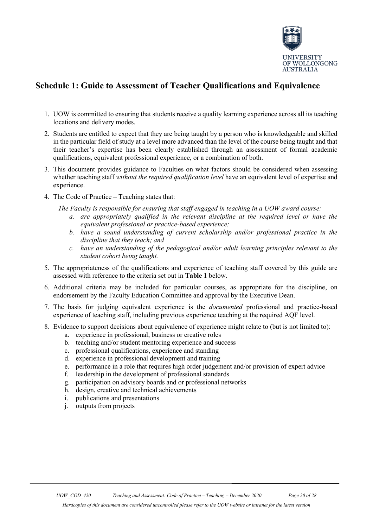

# <span id="page-19-0"></span>**Schedule 1: Guide to Assessment of Teacher Qualifications and Equivalence**

- 1. UOW is committed to ensuring that students receive a quality learning experience across all its teaching locations and delivery modes.
- 2. Students are entitled to expect that they are being taught by a person who is knowledgeable and skilled in the particular field of study at a level more advanced than the level of the course being taught and that their teacher's expertise has been clearly established through an assessment of formal academic qualifications, equivalent professional experience, or a combination of both.
- 3. This document provides guidance to Faculties on what factors should be considered when assessing whether teaching staff *without the required qualification level* have an equivalent level of expertise and experience.
- 4. The Code of Practice Teaching states that:
	- *The Faculty is responsible for ensuring that staff engaged in teaching in a UOW award course: a. are appropriately qualified in the relevant discipline at the required level or have the equivalent professional or practice-based experience;* 
		- *b. have a sound understanding of current scholarship and/or professional practice in the discipline that they teach; and*
		- *c. have an understanding of the pedagogical and/or adult learning principles relevant to the student cohort being taught.*
- 5. The appropriateness of the qualifications and experience of teaching staff covered by this guide are assessed with reference to the criteria set out in **Table 1** below.
- 6. Additional criteria may be included for particular courses, as appropriate for the discipline, on endorsement by the Faculty Education Committee and approval by the Executive Dean.
- 7. The basis for judging equivalent experience is the *documented* professional and practice-based experience of teaching staff, including previous experience teaching at the required AQF level.
- 8. Evidence to support decisions about equivalence of experience might relate to (but is not limited to):
	- a. experience in professional, business or creative roles
	- b. teaching and/or student mentoring experience and success
	- c. professional qualifications, experience and standing
	- d. experience in professional development and training
	- e. performance in a role that requires high order judgement and/or provision of expert advice
	- f. leadership in the development of professional standards
	- g. participation on advisory boards and or professional networks
	- h. design, creative and technical achievements
	- i. publications and presentations
	- j. outputs from projects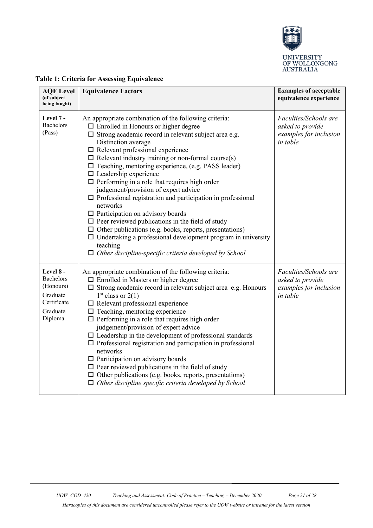

UNIVERSITY<br>OF WOLLONGONG<br>AUSTRALIA

| <b>AQF</b> Level<br>(of subject<br>being taught)                                      | <b>Equivalence Factors</b>                                                                                                                                                                                                                                                                                                                                                                                                                                                                                                                                                                                                                                                                                                                                                                                                                                                                                       | <b>Examples of acceptable</b><br>equivalence experience                                |
|---------------------------------------------------------------------------------------|------------------------------------------------------------------------------------------------------------------------------------------------------------------------------------------------------------------------------------------------------------------------------------------------------------------------------------------------------------------------------------------------------------------------------------------------------------------------------------------------------------------------------------------------------------------------------------------------------------------------------------------------------------------------------------------------------------------------------------------------------------------------------------------------------------------------------------------------------------------------------------------------------------------|----------------------------------------------------------------------------------------|
| Level 7 -<br>Bachelors<br>(Pass)                                                      | An appropriate combination of the following criteria:<br>$\Box$ Enrolled in Honours or higher degree<br>$\square$ Strong academic record in relevant subject area e.g.<br>Distinction average<br>$\Box$ Relevant professional experience<br>$\Box$ Relevant industry training or non-formal course(s)<br>$\Box$ Teaching, mentoring experience, (e.g. PASS leader)<br>$\Box$ Leadership experience<br>$\Box$ Performing in a role that requires high order<br>judgement/provision of expert advice<br>$\Box$ Professional registration and participation in professional<br>networks<br>$\Box$ Participation on advisory boards<br>$\Box$ Peer reviewed publications in the field of study<br>$\Box$ Other publications (e.g. books, reports, presentations)<br>$\Box$ Undertaking a professional development program in university<br>teaching<br>$\Box$ Other discipline-specific criteria developed by School | Faculties/Schools are<br>asked to provide<br>examples for inclusion<br><i>in table</i> |
| Level 8 -<br>Bachelors<br>(Honours)<br>Graduate<br>Certificate<br>Graduate<br>Diploma | An appropriate combination of the following criteria:<br>$\Box$ Enrolled in Masters or higher degree<br>$\square$ Strong academic record in relevant subject area e.g. Honours<br>$1st$ class or 2(1)<br>$\Box$ Relevant professional experience<br>$\Box$ Teaching, mentoring experience<br>$\Box$ Performing in a role that requires high order<br>judgement/provision of expert advice<br>$\square$ Leadership in the development of professional standards<br>$\Box$ Professional registration and participation in professional<br>networks<br>$\Box$ Participation on advisory boards<br>$\Box$ Peer reviewed publications in the field of study<br>$\Box$ Other publications (e.g. books, reports, presentations)<br>$\Box$ Other discipline specific criteria developed by School                                                                                                                        | Faculties/Schools are<br>asked to provide<br>examples for inclusion<br>in table        |

# **Table 1: Criteria for Assessing Equivalence**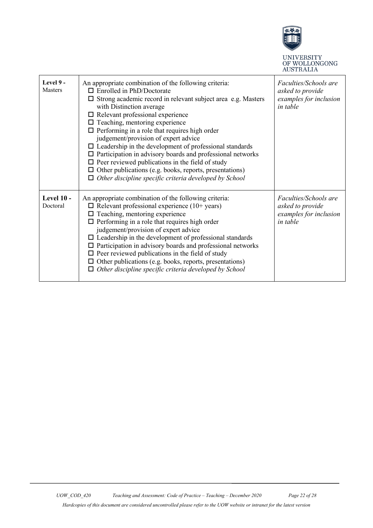

UNIVERSITY<br>OF WOLLONGONG<br>AUSTRALIA

| Level 9 -<br><b>Masters</b> | An appropriate combination of the following criteria:<br>$\Box$ Enrolled in PhD/Doctorate<br>$\square$ Strong academic record in relevant subject area e.g. Masters<br>with Distinction average<br>$\Box$ Relevant professional experience<br>$\Box$ Teaching, mentoring experience<br>$\Box$ Performing in a role that requires high order<br>judgement/provision of expert advice<br>$\Box$ Leadership in the development of professional standards<br>$\Box$ Participation in advisory boards and professional networks<br>$\Box$ Peer reviewed publications in the field of study<br>$\Box$ Other publications (e.g. books, reports, presentations)<br>$\Box$ Other discipline specific criteria developed by School | Faculties/Schools are<br>asked to provide<br>examples for inclusion<br>in table |
|-----------------------------|--------------------------------------------------------------------------------------------------------------------------------------------------------------------------------------------------------------------------------------------------------------------------------------------------------------------------------------------------------------------------------------------------------------------------------------------------------------------------------------------------------------------------------------------------------------------------------------------------------------------------------------------------------------------------------------------------------------------------|---------------------------------------------------------------------------------|
| Level 10 -<br>Doctoral      | An appropriate combination of the following criteria:<br>$\Box$ Relevant professional experience (10+ years)<br>$\Box$ Teaching, mentoring experience<br>$\Box$ Performing in a role that requires high order<br>judgement/provision of expert advice<br>$\Box$ Leadership in the development of professional standards<br>$\Box$ Participation in advisory boards and professional networks<br>$\Box$ Peer reviewed publications in the field of study<br>$\Box$ Other publications (e.g. books, reports, presentations)<br>$\Box$ Other discipline specific criteria developed by School                                                                                                                               | Faculties/Schools are<br>asked to provide<br>examples for inclusion<br>in table |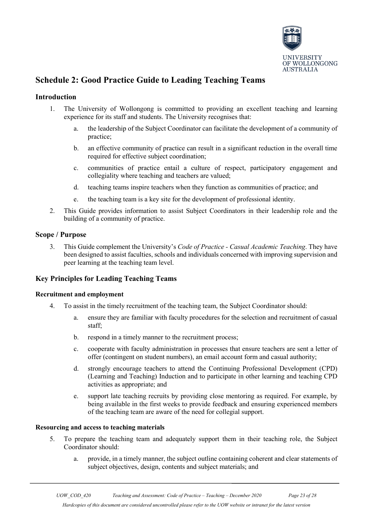

# <span id="page-22-0"></span>**Schedule 2: Good Practice Guide to Leading Teaching Teams**

# **Introduction**

- 1. The University of Wollongong is committed to providing an excellent teaching and learning experience for its staff and students. The University recognises that:
	- a. the leadership of the Subject Coordinator can facilitate the development of a community of practice;
	- b. an effective community of practice can result in a significant reduction in the overall time required for effective subject coordination;
	- c. communities of practice entail a culture of respect, participatory engagement and collegiality where teaching and teachers are valued;
	- d. teaching teams inspire teachers when they function as communities of practice; and
	- e. the teaching team is a key site for the development of professional identity.
- 2. This Guide provides information to assist Subject Coordinators in their leadership role and the building of a community of practice.

# **Scope / Purpose**

3. This Guide complement the University's *Code of Practice - Casual Academic Teaching*. They have been designed to assist faculties, schools and individuals concerned with improving supervision and peer learning at the teaching team level.

# **Key Principles for Leading Teaching Teams**

# **Recruitment and employment**

- 4. To assist in the timely recruitment of the teaching team, the Subject Coordinator should:
	- a. ensure they are familiar with faculty procedures for the selection and recruitment of casual staff;
	- b. respond in a timely manner to the recruitment process;
	- c. cooperate with faculty administration in processes that ensure teachers are sent a letter of offer (contingent on student numbers), an email account form and casual authority;
	- d. strongly encourage teachers to attend the Continuing Professional Development (CPD) (Learning and Teaching) Induction and to participate in other learning and teaching CPD activities as appropriate; and
	- e. support late teaching recruits by providing close mentoring as required. For example, by being available in the first weeks to provide feedback and ensuring experienced members of the teaching team are aware of the need for collegial support.

# **Resourcing and access to teaching materials**

- 5. To prepare the teaching team and adequately support them in their teaching role, the Subject Coordinator should:
	- a. provide, in a timely manner, the subject outline containing coherent and clear statements of subject objectives, design, contents and subject materials; and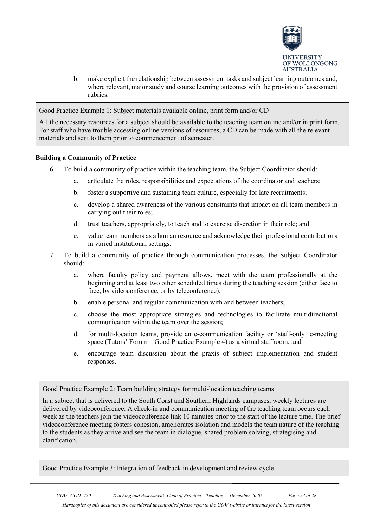

b. make explicit the relationship between assessment tasks and subject learning outcomes and, where relevant, major study and course learning outcomes with the provision of assessment rubrics.

Good Practice Example 1: Subject materials available online, print form and/or CD

All the necessary resources for a subject should be available to the teaching team online and/or in print form. For staff who have trouble accessing online versions of resources, a CD can be made with all the relevant materials and sent to them prior to commencement of semester.

# **Building a Community of Practice**

- 6. To build a community of practice within the teaching team, the Subject Coordinator should:
	- a. articulate the roles, responsibilities and expectations of the coordinator and teachers;
	- b. foster a supportive and sustaining team culture, especially for late recruitments;
	- c. develop a shared awareness of the various constraints that impact on all team members in carrying out their roles;
	- d. trust teachers, appropriately, to teach and to exercise discretion in their role; and
	- e. value team members as a human resource and acknowledge their professional contributions in varied institutional settings.
- 7. To build a community of practice through communication processes, the Subject Coordinator should:
	- a. where faculty policy and payment allows, meet with the team professionally at the beginning and at least two other scheduled times during the teaching session (either face to face, by videoconference, or by teleconference);
	- b. enable personal and regular communication with and between teachers;
	- c. choose the most appropriate strategies and technologies to facilitate multidirectional communication within the team over the session;
	- d. for multi-location teams, provide an e-communication facility or 'staff-only' e-meeting space (Tutors' Forum – Good Practice Example 4) as a virtual staffroom; and
	- e. encourage team discussion about the praxis of subject implementation and student responses.

Good Practice Example 2: Team building strategy for multi-location teaching teams

In a subject that is delivered to the South Coast and Southern Highlands campuses, weekly lectures are delivered by videoconference. A check-in and communication meeting of the teaching team occurs each week as the teachers join the videoconference link 10 minutes prior to the start of the lecture time. The brief videoconference meeting fosters cohesion, ameliorates isolation and models the team nature of the teaching to the students as they arrive and see the team in dialogue, shared problem solving, strategising and clarification.

Good Practice Example 3: Integration of feedback in development and review cycle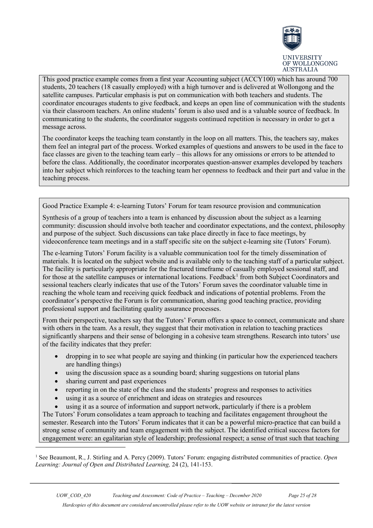

This good practice example comes from a first year Accounting subject (ACCY100) which has around 700 students, 20 teachers (18 casually employed) with a high turnover and is delivered at Wollongong and the satellite campuses. Particular emphasis is put on communication with both teachers and students. The coordinator encourages students to give feedback, and keeps an open line of communication with the students via their classroom teachers. An online students' forum is also used and is a valuable source of feedback. In communicating to the students, the coordinator suggests continued repetition is necessary in order to get a message across.

The coordinator keeps the teaching team constantly in the loop on all matters. This, the teachers say, makes them feel an integral part of the process. Worked examples of questions and answers to be used in the face to face classes are given to the teaching team early – this allows for any omissions or errors to be attended to before the class. Additionally, the coordinator incorporates question-answer examples developed by teachers into her subject which reinforces to the teaching team her openness to feedback and their part and value in the teaching process.

Good Practice Example 4: e-learning Tutors' Forum for team resource provision and communication

Synthesis of a group of teachers into a team is enhanced by discussion about the subject as a learning community: discussion should involve both teacher and coordinator expectations, and the context, philosophy and purpose of the subject. Such discussions can take place directly in face to face meetings, by videoconference team meetings and in a staff specific site on the subject e-learning site (Tutors' Forum).

The e-learning Tutors' Forum facility is a valuable communication tool for the timely dissemination of materials. It is located on the subject website and is available only to the teaching staff of a particular subject. The facility is particularly appropriate for the fractured timeframe of casually employed sessional staff, and for those at the satellite campuses or international locations. Feedback<sup>[1](#page-24-0)</sup> from both Subject Coordinators and sessional teachers clearly indicates that use of the Tutors' Forum saves the coordinator valuable time in reaching the whole team and receiving quick feedback and indications of potential problems. From the coordinator's perspective the Forum is for communication, sharing good teaching practice, providing professional support and facilitating quality assurance processes.

From their perspective, teachers say that the Tutors' Forum offers a space to connect, communicate and share with others in the team. As a result, they suggest that their motivation in relation to teaching practices significantly sharpens and their sense of belonging in a cohesive team strengthens. Research into tutors' use of the facility indicates that they prefer:

- dropping in to see what people are saying and thinking (in particular how the experienced teachers are handling things)
- using the discussion space as a sounding board; sharing suggestions on tutorial plans
- sharing current and past experiences

-

- reporting in on the state of the class and the students' progress and responses to activities
- using it as a source of enrichment and ideas on strategies and resources
- using it as a source of information and support network, particularly if there is a problem

The Tutors' Forum consolidates a team approach to teaching and facilitates engagement throughout the semester. Research into the Tutors' Forum indicates that it can be a powerful micro-practice that can build a strong sense of community and team engagement with the subject. The identified critical success factors for engagement were: an egalitarian style of leadership; professional respect; a sense of trust such that teaching

<span id="page-24-0"></span><sup>1</sup> See Beaumont, R., J. Stirling and A. Percy (2009). Tutors' Forum: engaging distributed communities of practice. *Open Learning: Journal of Open and Distributed Learning,* 24 (2), 141-153.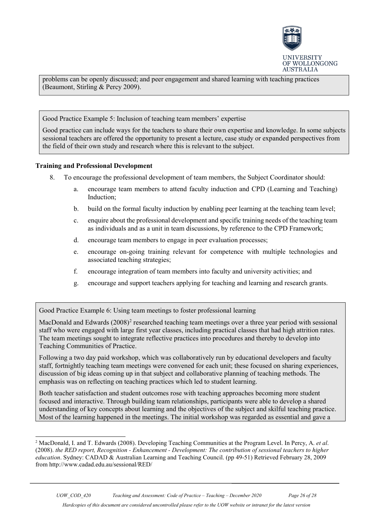

problems can be openly discussed; and peer engagement and shared learning with teaching practices (Beaumont, Stirling & Percy 2009).

Good Practice Example 5: Inclusion of teaching team members' expertise

Good practice can include ways for the teachers to share their own expertise and knowledge. In some subjects sessional teachers are offered the opportunity to present a lecture, case study or expanded perspectives from the field of their own study and research where this is relevant to the subject.

### **Training and Professional Development**

- 8. To encourage the professional development of team members, the Subject Coordinator should:
	- a. encourage team members to attend faculty induction and CPD (Learning and Teaching) Induction;
	- b. build on the formal faculty induction by enabling peer learning at the teaching team level;
	- c. enquire about the professional development and specific training needs of the teaching team as individuals and as a unit in team discussions, by reference to the CPD Framework;
	- d. encourage team members to engage in peer evaluation processes;
	- e. encourage on-going training relevant for competence with multiple technologies and associated teaching strategies;
	- f. encourage integration of team members into faculty and university activities; and
	- g. encourage and support teachers applying for teaching and learning and research grants.

Good Practice Example 6: Using team meetings to foster professional learning

MacDonald and Edwards  $(2008)^2$  $(2008)^2$  $(2008)^2$  researched teaching team meetings over a three year period with sessional staff who were engaged with large first year classes, including practical classes that had high attrition rates. The team meetings sought to integrate reflective practices into procedures and thereby to develop into Teaching Communities of Practice.

Following a two day paid workshop, which was collaboratively run by educational developers and faculty staff, fortnightly teaching team meetings were convened for each unit; these focused on sharing experiences, discussion of big ideas coming up in that subject and collaborative planning of teaching methods. The emphasis was on reflecting on teaching practices which led to student learning.

Both teacher satisfaction and student outcomes rose with teaching approaches becoming more student focused and interactive. Through building team relationships, participants were able to develop a shared understanding of key concepts about learning and the objectives of the subject and skilful teaching practice. Most of the learning happened in the meetings. The initial workshop was regarded as essential and gave a

<span id="page-25-0"></span><sup>-</sup><sup>2</sup> MacDonald, I. and T. Edwards (2008). Developing Teaching Communities at the Program Level. In Percy, A. *et al*. (2008). *the RED report, Recognition - Enhancement - Development: The contribution of sessional teachers to higher education*. Sydney: CADAD & Australian Learning and Teaching Council. (pp 49-51) Retrieved February 28, 2009 from http://www.cadad.edu.au/sessional/RED/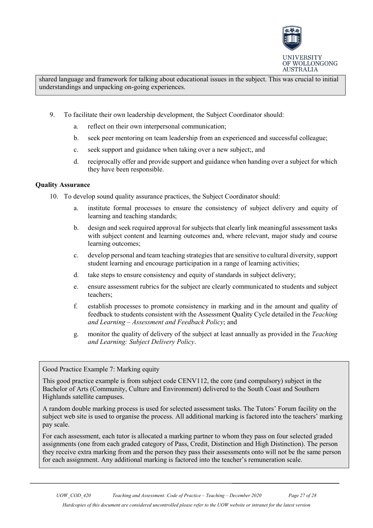

shared language and framework for talking about educational issues in the subject. This was crucial to initial understandings and unpacking on-going experiences.

- 9. To facilitate their own leadership development, the Subject Coordinator should:
	- a. reflect on their own interpersonal communication;
	- b. seek peer mentoring on team leadership from an experienced and successful colleague;
	- c. seek support and guidance when taking over a new subject;, and
	- d. reciprocally offer and provide support and guidance when handing over a subject for which they have been responsible.

# **Quality Assurance**

- 10. To develop sound quality assurance practices, the Subject Coordinator should:
	- a. institute formal processes to ensure the consistency of subject delivery and equity of learning and teaching standards;
	- b. design and seek required approval for subjects that clearly link meaningful assessment tasks with subject content and learning outcomes and, where relevant, major study and course learning outcomes;
	- c. develop personal and team teaching strategies that are sensitive to cultural diversity, support student learning and encourage participation in a range of learning activities;
	- d. take steps to ensure consistency and equity of standards in subject delivery;
	- e. ensure assessment rubrics for the subject are clearly communicated to students and subject teachers;
	- f. establish processes to promote consistency in marking and in the amount and quality of feedback to students consistent with the Assessment Quality Cycle detailed in the *Teaching and Learning – Assessment and Feedback Policy*; and
	- g. monitor the quality of delivery of the subject at least annually as provided in the *Teaching and Learning: Subject Delivery Policy*.

Good Practice Example 7: Marking equity

This good practice example is from subject code CENV112, the core (and compulsory) subject in the Bachelor of Arts (Community, Culture and Environment) delivered to the South Coast and Southern Highlands satellite campuses.

A random double marking process is used for selected assessment tasks. The Tutors' Forum facility on the subject web site is used to organise the process. All additional marking is factored into the teachers' marking pay scale.

For each assessment, each tutor is allocated a marking partner to whom they pass on four selected graded assignments (one from each graded category of Pass, Credit, Distinction and High Distinction). The person they receive extra marking from and the person they pass their assessments onto will not be the same person for each assignment. Any additional marking is factored into the teacher's remuneration scale.